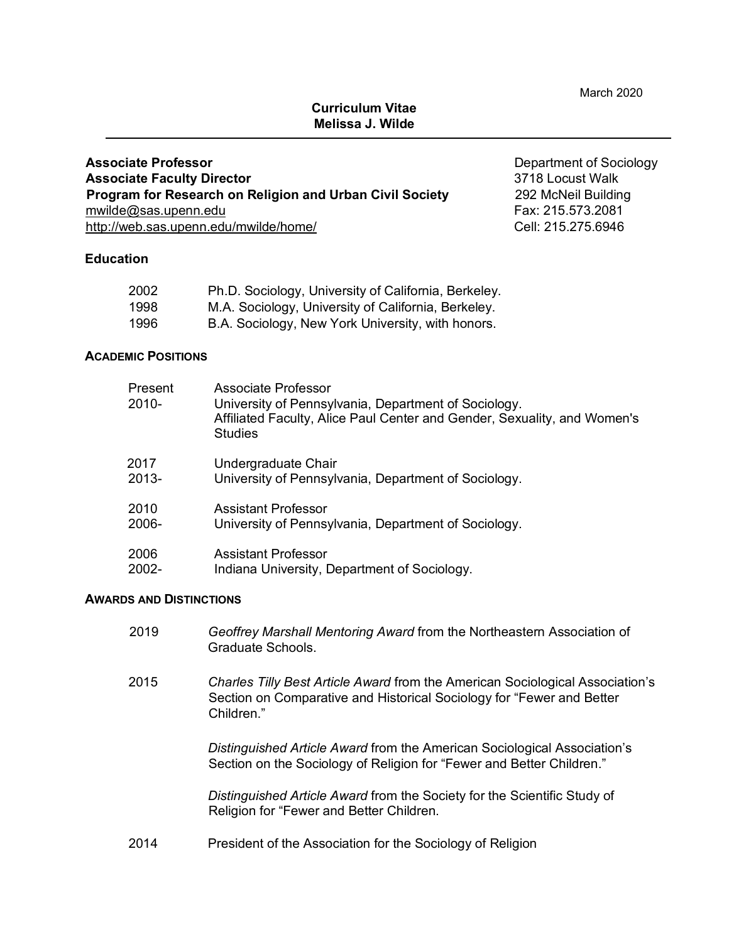March 2020

# **Curriculum Vitae Melissa J. Wilde**

**Associate Professor CONSERVING CONSERVING CONSERVING CONSERVING CONSERVING CONSERVING CONSERVING CONSERVING CONSERVING CONSERVING CONSERVING CONSERVING CONSERVING CONSERVING CONSERVING CONSERVING CONSERVING CONSERVING C Associate Faculty Director** 3718 Locust Walk **Program for Research on Religion and Urban Civil Society** 292 McNeil Building mwilde@sas.upenn.edu Fax: 215.573.2081 http://web.sas.upenn.edu/mwilde/home/ Cell: 215.275.6946

# **Education**

| 2002 | Ph.D. Sociology, University of California, Berkeley. |
|------|------------------------------------------------------|
| 1998 | M.A. Sociology, University of California, Berkeley.  |
| 1996 | B.A. Sociology, New York University, with honors.    |

### **ACADEMIC POSITIONS**

| Present<br>$2010 -$ | Associate Professor<br>University of Pennsylvania, Department of Sociology.<br>Affiliated Faculty, Alice Paul Center and Gender, Sexuality, and Women's<br><b>Studies</b> |
|---------------------|---------------------------------------------------------------------------------------------------------------------------------------------------------------------------|
| 2017<br>$2013 -$    | Undergraduate Chair<br>University of Pennsylvania, Department of Sociology.                                                                                               |
| 2010<br>$2006-$     | Assistant Professor<br>University of Pennsylvania, Department of Sociology.                                                                                               |
| 2006<br>2002-       | <b>Assistant Professor</b><br>Indiana University, Department of Sociology.                                                                                                |

#### **AWARDS AND DISTINCTIONS**

- 2019 *Geoffrey Marshall Mentoring Award* from the Northeastern Association of Graduate Schools.
- 2015 *Charles Tilly Best Article Award* from the American Sociological Association's Section on Comparative and Historical Sociology for "Fewer and Better Children."

*Distinguished Article Award* from the American Sociological Association's Section on the Sociology of Religion for "Fewer and Better Children."

*Distinguished Article Award* from the Society for the Scientific Study of Religion for "Fewer and Better Children.

2014 President of the Association for the Sociology of Religion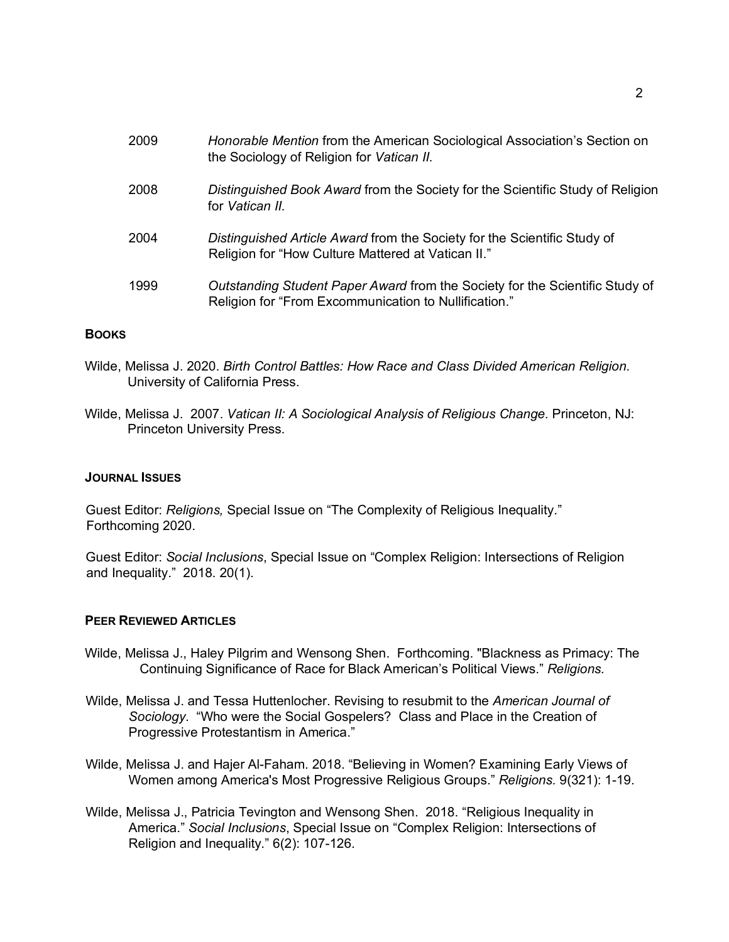| 2009 | Honorable Mention from the American Sociological Association's Section on<br>the Sociology of Religion for Vatican II.                |
|------|---------------------------------------------------------------------------------------------------------------------------------------|
| 2008 | Distinguished Book Award from the Society for the Scientific Study of Religion<br>for Vatican II.                                     |
| 2004 | Distinguished Article Award from the Society for the Scientific Study of<br>Religion for "How Culture Mattered at Vatican II."        |
| 1999 | Outstanding Student Paper Award from the Society for the Scientific Study of<br>Religion for "From Excommunication to Nullification." |

#### **BOOKS**

- Wilde, Melissa J. 2020. *Birth Control Battles: How Race and Class Divided American Religion*. University of California Press.
- Wilde, Melissa J. 2007. *Vatican II: A Sociological Analysis of Religious Change.* Princeton, NJ: Princeton University Press.

#### **JOURNAL ISSUES**

Guest Editor: *Religions,* Special Issue on "The Complexity of Religious Inequality." Forthcoming 2020.

Guest Editor: *Social Inclusions*, Special Issue on "Complex Religion: Intersections of Religion and Inequality." 2018. 20(1).

#### **PEER REVIEWED ARTICLES**

- Wilde, Melissa J., Haley Pilgrim and Wensong Shen. Forthcoming. "Blackness as Primacy: The Continuing Significance of Race for Black American's Political Views." *Religions.*
- Wilde, Melissa J. and Tessa Huttenlocher. Revising to resubmit to the *American Journal of Sociology*. "Who were the Social Gospelers? Class and Place in the Creation of Progressive Protestantism in America."
- Wilde, Melissa J. and Hajer Al-Faham. 2018. "Believing in Women? Examining Early Views of Women among America's Most Progressive Religious Groups." *Religions.* 9(321): 1-19.
- Wilde, Melissa J., Patricia Tevington and Wensong Shen. 2018. "Religious Inequality in America." *Social Inclusions*, Special Issue on "Complex Religion: Intersections of Religion and Inequality." 6(2): 107-126.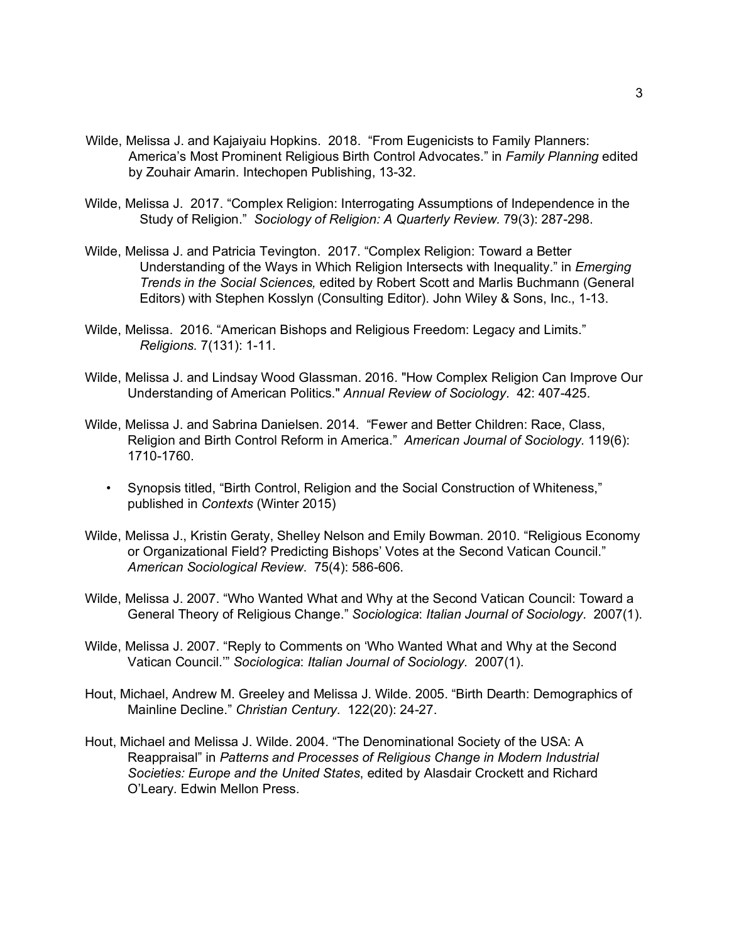- Wilde, Melissa J. and Kajaiyaiu Hopkins. 2018. "From Eugenicists to Family Planners: America's Most Prominent Religious Birth Control Advocates." in *Family Planning* edited by Zouhair Amarin. Intechopen Publishing, 13-32.
- Wilde, Melissa J. 2017. "Complex Religion: Interrogating Assumptions of Independence in the Study of Religion." *Sociology of Religion: A Quarterly Review.* 79(3): 287-298.
- Wilde, Melissa J. and Patricia Tevington. 2017. "Complex Religion: Toward a Better Understanding of the Ways in Which Religion Intersects with Inequality." in *Emerging Trends in the Social Sciences,* edited by Robert Scott and Marlis Buchmann (General Editors) with Stephen Kosslyn (Consulting Editor). John Wiley & Sons, Inc., 1-13.
- Wilde, Melissa. 2016. "American Bishops and Religious Freedom: Legacy and Limits." *Religions.* 7(131): 1-11.
- Wilde, Melissa J. and Lindsay Wood Glassman. 2016. "How Complex Religion Can Improve Our Understanding of American Politics." *Annual Review of Sociology*. 42: 407-425.
- Wilde, Melissa J. and Sabrina Danielsen. 2014. "Fewer and Better Children: Race, Class, Religion and Birth Control Reform in America." *American Journal of Sociology.* 119(6): 1710-1760.
	- Synopsis titled, "Birth Control, Religion and the Social Construction of Whiteness," published in *Contexts* (Winter 2015)
- Wilde, Melissa J., Kristin Geraty, Shelley Nelson and Emily Bowman. 2010. "Religious Economy or Organizational Field? Predicting Bishops' Votes at the Second Vatican Council." *American Sociological Review*. 75(4): 586-606.
- Wilde, Melissa J. 2007. "Who Wanted What and Why at the Second Vatican Council: Toward a General Theory of Religious Change." *Sociologica*: *Italian Journal of Sociology*. 2007(1).
- Wilde, Melissa J. 2007. "Reply to Comments on 'Who Wanted What and Why at the Second Vatican Council.'" *Sociologica*: *Italian Journal of Sociology.* 2007(1).
- Hout, Michael, Andrew M. Greeley and Melissa J. Wilde. 2005. "Birth Dearth: Demographics of Mainline Decline." *Christian Century*. 122(20): 24-27.
- Hout, Michael and Melissa J. Wilde. 2004. "The Denominational Society of the USA: A Reappraisal" in *Patterns and Processes of Religious Change in Modern Industrial Societies: Europe and the United States*, edited by Alasdair Crockett and Richard O'Leary*.* Edwin Mellon Press.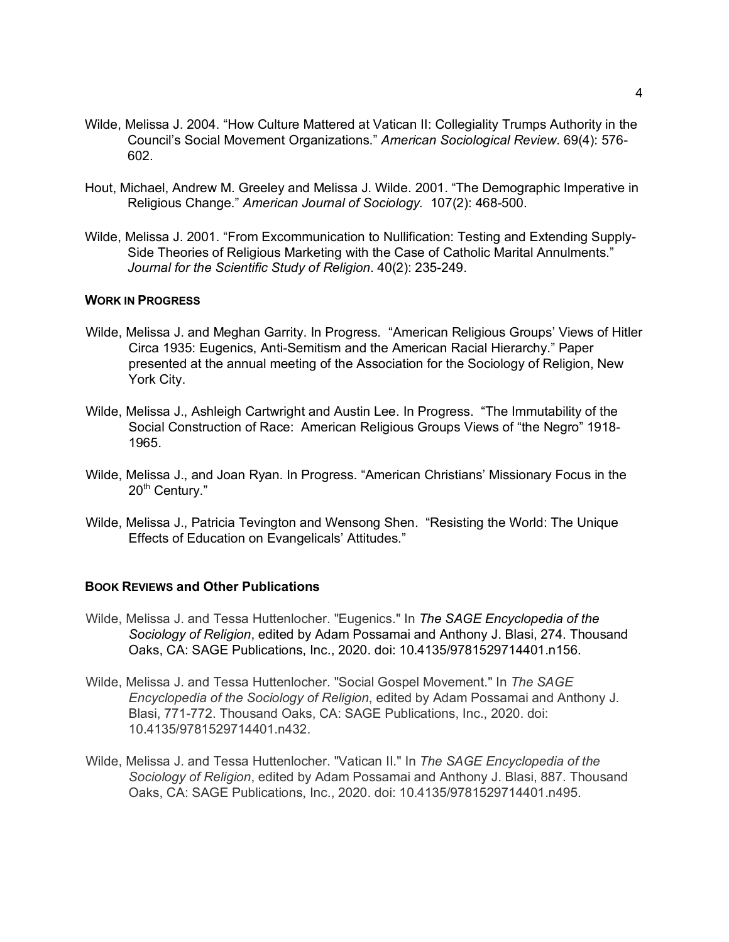- Wilde, Melissa J. 2004. "How Culture Mattered at Vatican II: Collegiality Trumps Authority in the Council's Social Movement Organizations." *American Sociological Review*. 69(4): 576- 602.
- Hout, Michael, Andrew M. Greeley and Melissa J. Wilde. 2001. "The Demographic Imperative in Religious Change." *American Journal of Sociology.* 107(2): 468-500.
- Wilde, Melissa J. 2001. "From Excommunication to Nullification: Testing and Extending Supply-Side Theories of Religious Marketing with the Case of Catholic Marital Annulments." *Journal for the Scientific Study of Religion*. 40(2): 235-249.

#### **WORK IN PROGRESS**

- Wilde, Melissa J. and Meghan Garrity. In Progress. "American Religious Groups' Views of Hitler Circa 1935: Eugenics, Anti-Semitism and the American Racial Hierarchy." Paper presented at the annual meeting of the Association for the Sociology of Religion, New York City.
- Wilde, Melissa J., Ashleigh Cartwright and Austin Lee. In Progress. "The Immutability of the Social Construction of Race: American Religious Groups Views of "the Negro" 1918- 1965.
- Wilde, Melissa J., and Joan Ryan. In Progress. "American Christians' Missionary Focus in the 20<sup>th</sup> Century."
- Wilde, Melissa J., Patricia Tevington and Wensong Shen. "Resisting the World: The Unique Effects of Education on Evangelicals' Attitudes."

### **BOOK REVIEWS and Other Publications**

- Wilde, Melissa J. and Tessa Huttenlocher. "Eugenics." In *The SAGE Encyclopedia of the Sociology of Religion*, edited by Adam Possamai and Anthony J. Blasi, 274. Thousand Oaks, CA: SAGE Publications, Inc., 2020. doi: 10.4135/9781529714401.n156.
- Wilde, Melissa J. and Tessa Huttenlocher. "Social Gospel Movement." In *The SAGE Encyclopedia of the Sociology of Religion*, edited by Adam Possamai and Anthony J. Blasi, 771-772. Thousand Oaks, CA: SAGE Publications, Inc., 2020. doi: 10.4135/9781529714401.n432.
- Wilde, Melissa J. and Tessa Huttenlocher. "Vatican II." In *The SAGE Encyclopedia of the Sociology of Religion*, edited by Adam Possamai and Anthony J. Blasi, 887. Thousand Oaks, CA: SAGE Publications, Inc., 2020. doi: 10.4135/9781529714401.n495.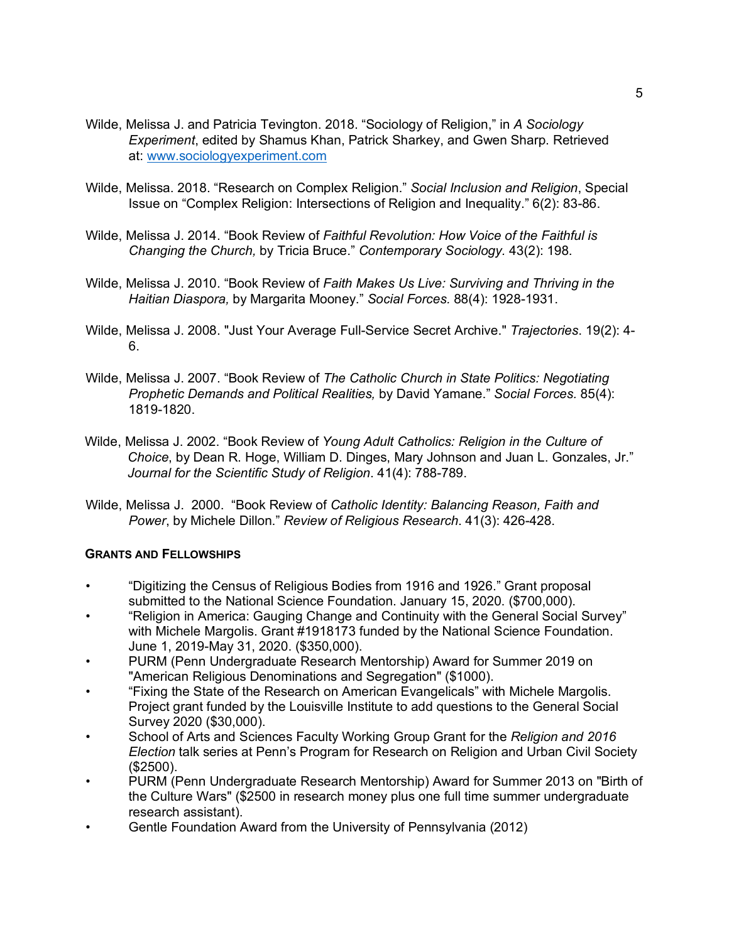- Wilde, Melissa J. and Patricia Tevington. 2018. "Sociology of Religion," in *A Sociology Experiment*, edited by Shamus Khan, Patrick Sharkey, and Gwen Sharp. Retrieved at: www.sociologyexperiment.com
- Wilde, Melissa. 2018. "Research on Complex Religion." *Social Inclusion and Religion*, Special Issue on "Complex Religion: Intersections of Religion and Inequality." 6(2): 83-86.
- Wilde, Melissa J. 2014. "Book Review of *Faithful Revolution: How Voice of the Faithful is Changing the Church,* by Tricia Bruce." *Contemporary Sociology.* 43(2): 198.
- Wilde, Melissa J. 2010. "Book Review of *Faith Makes Us Live: Surviving and Thriving in the Haitian Diaspora,* by Margarita Mooney." *Social Forces.* 88(4): 1928-1931.
- Wilde, Melissa J. 2008. "Just Your Average Full-Service Secret Archive." *Trajectories*. 19(2): 4- 6.
- Wilde, Melissa J. 2007. "Book Review of *The Catholic Church in State Politics: Negotiating Prophetic Demands and Political Realities,* by David Yamane." *Social Forces.* 85(4): 1819-1820.
- Wilde, Melissa J. 2002. "Book Review of *Young Adult Catholics: Religion in the Culture of Choice*, by Dean R. Hoge, William D. Dinges, Mary Johnson and Juan L. Gonzales, Jr." *Journal for the Scientific Study of Religion*. 41(4): 788-789.
- Wilde, Melissa J. 2000. "Book Review of *Catholic Identity: Balancing Reason, Faith and Power*, by Michele Dillon." *Review of Religious Research*. 41(3): 426-428.

## **GRANTS AND FELLOWSHIPS**

- "Digitizing the Census of Religious Bodies from 1916 and 1926." Grant proposal submitted to the National Science Foundation. January 15, 2020. (\$700,000).
- "Religion in America: Gauging Change and Continuity with the General Social Survey" with Michele Margolis. Grant #1918173 funded by the National Science Foundation. June 1, 2019-May 31, 2020. (\$350,000).
- PURM (Penn Undergraduate Research Mentorship) Award for Summer 2019 on "American Religious Denominations and Segregation" (\$1000).
- "Fixing the State of the Research on American Evangelicals" with Michele Margolis. Project grant funded by the Louisville Institute to add questions to the General Social Survey 2020 (\$30,000).
- School of Arts and Sciences Faculty Working Group Grant for the *Religion and 2016 Election* talk series at Penn's Program for Research on Religion and Urban Civil Society (\$2500).
- PURM (Penn Undergraduate Research Mentorship) Award for Summer 2013 on "Birth of the Culture Wars" (\$2500 in research money plus one full time summer undergraduate research assistant).
- Gentle Foundation Award from the University of Pennsylvania (2012)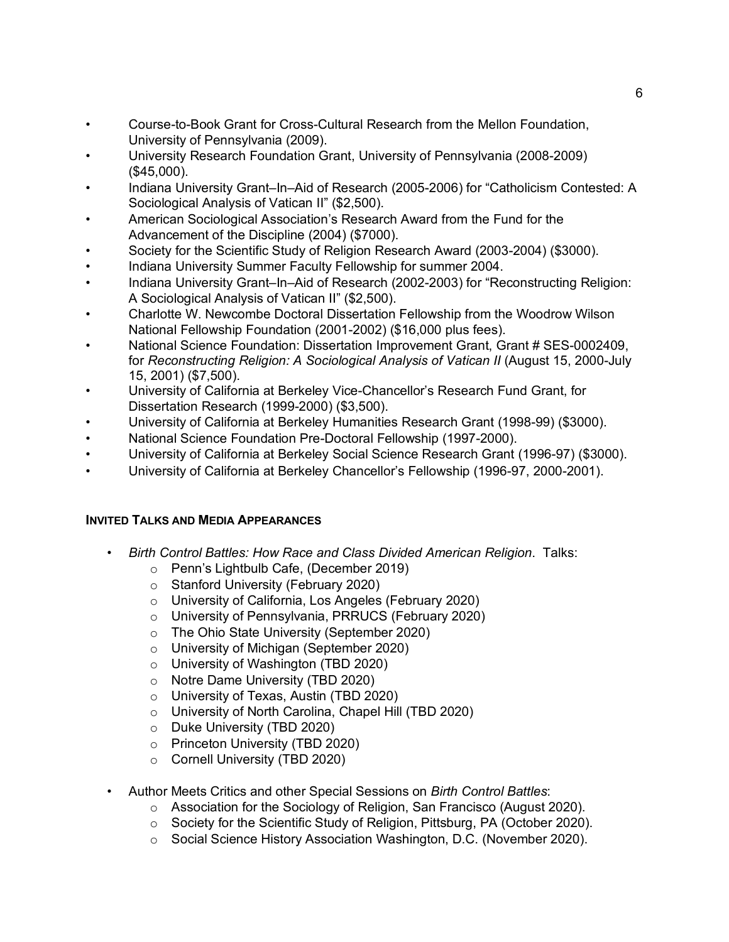- Course-to-Book Grant for Cross-Cultural Research from the Mellon Foundation, University of Pennsylvania (2009).
- University Research Foundation Grant, University of Pennsylvania (2008-2009) (\$45,000).
- Indiana University Grant–In–Aid of Research (2005-2006) for "Catholicism Contested: A Sociological Analysis of Vatican II" (\$2,500).
- American Sociological Association's Research Award from the Fund for the Advancement of the Discipline (2004) (\$7000).
- Society for the Scientific Study of Religion Research Award (2003-2004) (\$3000).
- Indiana University Summer Faculty Fellowship for summer 2004.
- Indiana University Grant–In–Aid of Research (2002-2003) for "Reconstructing Religion: A Sociological Analysis of Vatican II" (\$2,500).
- Charlotte W. Newcombe Doctoral Dissertation Fellowship from the Woodrow Wilson National Fellowship Foundation (2001-2002) (\$16,000 plus fees).
- National Science Foundation: Dissertation Improvement Grant, Grant # SES-0002409, for *Reconstructing Religion: A Sociological Analysis of Vatican II (August 15, 2000-July* 15, 2001) (\$7,500).
- University of California at Berkeley Vice-Chancellor's Research Fund Grant, for Dissertation Research (1999-2000) (\$3,500).
- University of California at Berkeley Humanities Research Grant (1998-99) (\$3000).
- National Science Foundation Pre-Doctoral Fellowship (1997-2000).
- University of California at Berkeley Social Science Research Grant (1996-97) (\$3000).
- University of California at Berkeley Chancellor's Fellowship (1996-97, 2000-2001).

# **INVITED TALKS AND MEDIA APPEARANCES**

- *Birth Control Battles: How Race and Class Divided American Religion*. Talks:
	- o Penn's Lightbulb Cafe, (December 2019)
	- o Stanford University (February 2020)
	- o University of California, Los Angeles (February 2020)
	- o University of Pennsylvania, PRRUCS (February 2020)
	- o The Ohio State University (September 2020)
	- o University of Michigan (September 2020)
	- o University of Washington (TBD 2020)
	- o Notre Dame University (TBD 2020)
	- o University of Texas, Austin (TBD 2020)
	- o University of North Carolina, Chapel Hill (TBD 2020)
	- o Duke University (TBD 2020)
	- o Princeton University (TBD 2020)
	- o Cornell University (TBD 2020)
- Author Meets Critics and other Special Sessions on *Birth Control Battles*:
	- o Association for the Sociology of Religion, San Francisco (August 2020).
	- o Society for the Scientific Study of Religion, Pittsburg, PA (October 2020).
	- o Social Science History Association Washington, D.C. (November 2020).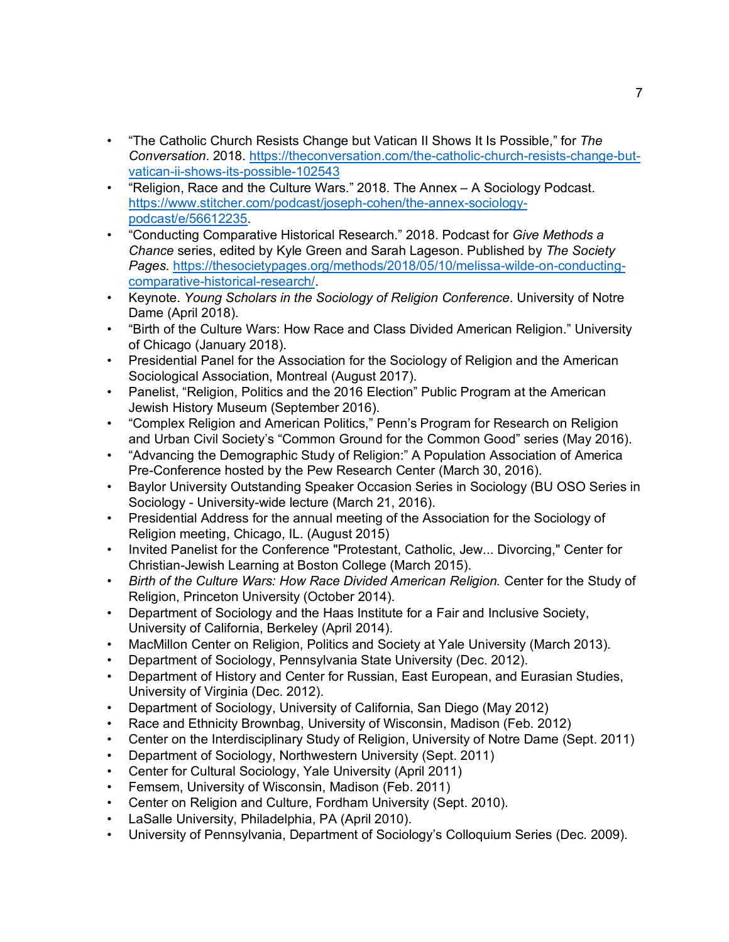- "The Catholic Church Resists Change but Vatican II Shows It Is Possible," for *The Conversation*. 2018. https://theconversation.com/the-catholic-church-resists-change-butvatican-ii-shows-its-possible-102543
- "Religion, Race and the Culture Wars." 2018. The Annex A Sociology Podcast. https://www.stitcher.com/podcast/joseph-cohen/the-annex-sociologypodcast/e/56612235.
- "Conducting Comparative Historical Research." 2018. Podcast for *Give Methods a Chance* series, edited by Kyle Green and Sarah Lageson. Published by *The Society Pages.* https://thesocietypages.org/methods/2018/05/10/melissa-wilde-on-conductingcomparative-historical-research/.
- Keynote. *Young Scholars in the Sociology of Religion Conference*. University of Notre Dame (April 2018).
- "Birth of the Culture Wars: How Race and Class Divided American Religion." University of Chicago (January 2018).
- Presidential Panel for the Association for the Sociology of Religion and the American Sociological Association, Montreal (August 2017).
- Panelist, "Religion, Politics and the 2016 Election" Public Program at the American Jewish History Museum (September 2016).
- "Complex Religion and American Politics," Penn's Program for Research on Religion and Urban Civil Society's "Common Ground for the Common Good" series (May 2016).
- "Advancing the Demographic Study of Religion:" A Population Association of America Pre-Conference hosted by the Pew Research Center (March 30, 2016).
- Baylor University Outstanding Speaker Occasion Series in Sociology (BU OSO Series in Sociology - University-wide lecture (March 21, 2016).
- Presidential Address for the annual meeting of the Association for the Sociology of Religion meeting, Chicago, IL. (August 2015)
- Invited Panelist for the Conference "Protestant, Catholic, Jew... Divorcing," Center for Christian-Jewish Learning at Boston College (March 2015).
- Birth of the Culture Wars: How Race Divided American Religion. Center for the Study of Religion, Princeton University (October 2014).
- Department of Sociology and the Haas Institute for a Fair and Inclusive Society, University of California, Berkeley (April 2014).
- MacMillon Center on Religion, Politics and Society at Yale University (March 2013).
- Department of Sociology, Pennsylvania State University (Dec. 2012).
- Department of History and Center for Russian, East European, and Eurasian Studies, University of Virginia (Dec. 2012).
- Department of Sociology, University of California, San Diego (May 2012)
- Race and Ethnicity Brownbag, University of Wisconsin, Madison (Feb. 2012)
- Center on the Interdisciplinary Study of Religion, University of Notre Dame (Sept. 2011)
- Department of Sociology, Northwestern University (Sept. 2011)
- Center for Cultural Sociology, Yale University (April 2011)
- Femsem, University of Wisconsin, Madison (Feb. 2011)
- Center on Religion and Culture, Fordham University (Sept. 2010).
- LaSalle University, Philadelphia, PA (April 2010).
- University of Pennsylvania, Department of Sociology's Colloquium Series (Dec. 2009).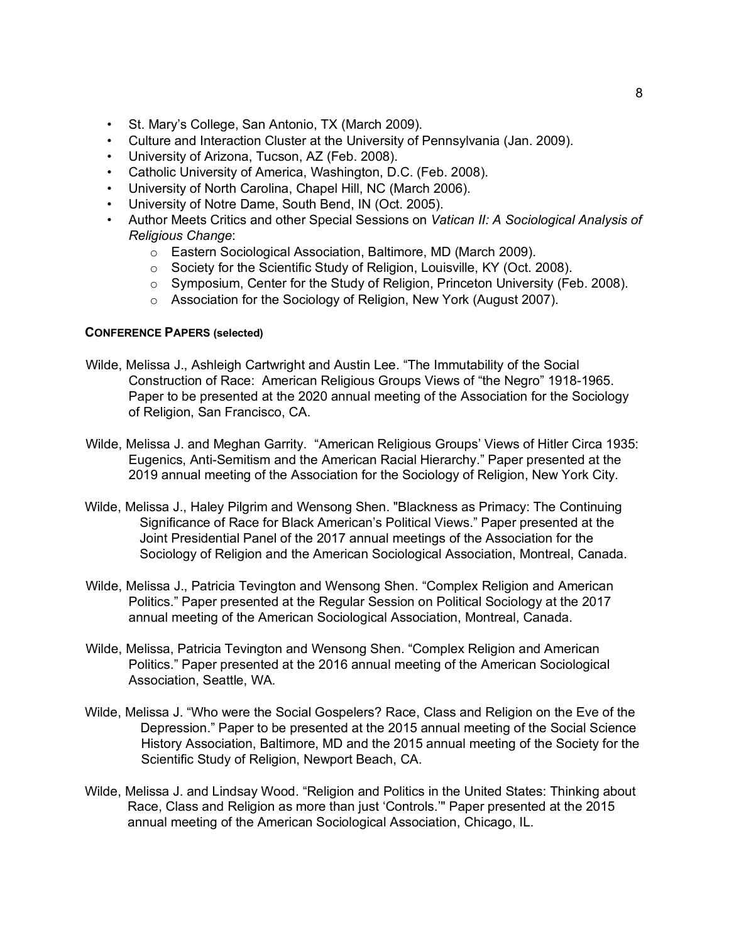- St. Mary's College, San Antonio, TX (March 2009).
- Culture and Interaction Cluster at the University of Pennsylvania (Jan. 2009).
- University of Arizona, Tucson, AZ (Feb. 2008).
- Catholic University of America, Washington, D.C. (Feb. 2008).
- University of North Carolina, Chapel Hill, NC (March 2006).
- University of Notre Dame, South Bend, IN (Oct. 2005).
- Author Meets Critics and other Special Sessions on *Vatican II: A Sociological Analysis of Religious Change*:
	- o Eastern Sociological Association, Baltimore, MD (March 2009).
	- o Society for the Scientific Study of Religion, Louisville, KY (Oct. 2008).
	- $\circ$  Symposium, Center for the Study of Religion, Princeton University (Feb. 2008).
	- o Association for the Sociology of Religion, New York (August 2007).

## **CONFERENCE PAPERS (selected)**

- Wilde, Melissa J., Ashleigh Cartwright and Austin Lee. "The Immutability of the Social Construction of Race: American Religious Groups Views of "the Negro" 1918-1965. Paper to be presented at the 2020 annual meeting of the Association for the Sociology of Religion, San Francisco, CA.
- Wilde, Melissa J. and Meghan Garrity. "American Religious Groups' Views of Hitler Circa 1935: Eugenics, Anti-Semitism and the American Racial Hierarchy." Paper presented at the 2019 annual meeting of the Association for the Sociology of Religion, New York City.
- Wilde, Melissa J., Haley Pilgrim and Wensong Shen. "Blackness as Primacy: The Continuing Significance of Race for Black American's Political Views." Paper presented at the Joint Presidential Panel of the 2017 annual meetings of the Association for the Sociology of Religion and the American Sociological Association, Montreal, Canada.
- Wilde, Melissa J., Patricia Tevington and Wensong Shen. "Complex Religion and American Politics." Paper presented at the Regular Session on Political Sociology at the 2017 annual meeting of the American Sociological Association, Montreal, Canada.
- Wilde, Melissa, Patricia Tevington and Wensong Shen. "Complex Religion and American Politics." Paper presented at the 2016 annual meeting of the American Sociological Association, Seattle, WA.
- Wilde, Melissa J. "Who were the Social Gospelers? Race, Class and Religion on the Eve of the Depression." Paper to be presented at the 2015 annual meeting of the Social Science History Association, Baltimore, MD and the 2015 annual meeting of the Society for the Scientific Study of Religion, Newport Beach, CA.
- Wilde, Melissa J. and Lindsay Wood. "Religion and Politics in the United States: Thinking about Race, Class and Religion as more than just 'Controls.'" Paper presented at the 2015 annual meeting of the American Sociological Association, Chicago, IL.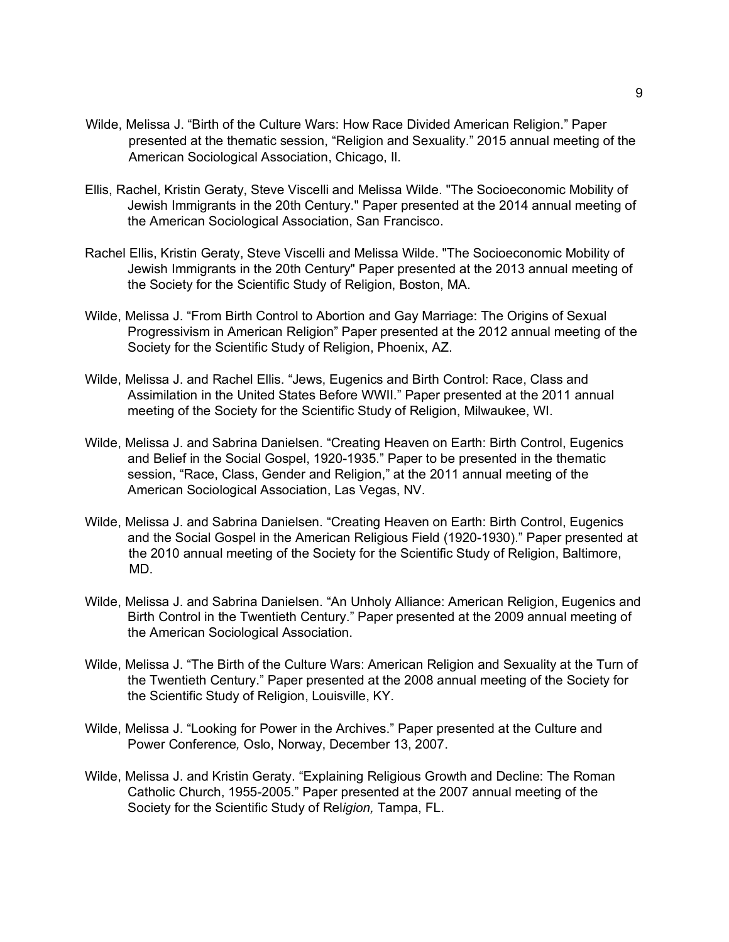- Wilde, Melissa J. "Birth of the Culture Wars: How Race Divided American Religion." Paper presented at the thematic session, "Religion and Sexuality." 2015 annual meeting of the American Sociological Association, Chicago, Il.
- Ellis, Rachel, Kristin Geraty, Steve Viscelli and Melissa Wilde. "The Socioeconomic Mobility of Jewish Immigrants in the 20th Century." Paper presented at the 2014 annual meeting of the American Sociological Association, San Francisco.
- Rachel Ellis, Kristin Geraty, Steve Viscelli and Melissa Wilde. "The Socioeconomic Mobility of Jewish Immigrants in the 20th Century" Paper presented at the 2013 annual meeting of the Society for the Scientific Study of Religion, Boston, MA.
- Wilde, Melissa J. "From Birth Control to Abortion and Gay Marriage: The Origins of Sexual Progressivism in American Religion" Paper presented at the 2012 annual meeting of the Society for the Scientific Study of Religion, Phoenix, AZ.
- Wilde, Melissa J. and Rachel Ellis. "Jews, Eugenics and Birth Control: Race, Class and Assimilation in the United States Before WWII." Paper presented at the 2011 annual meeting of the Society for the Scientific Study of Religion, Milwaukee, WI.
- Wilde, Melissa J. and Sabrina Danielsen. "Creating Heaven on Earth: Birth Control, Eugenics and Belief in the Social Gospel, 1920-1935." Paper to be presented in the thematic session, "Race, Class, Gender and Religion," at the 2011 annual meeting of the American Sociological Association, Las Vegas, NV.
- Wilde, Melissa J. and Sabrina Danielsen. "Creating Heaven on Earth: Birth Control, Eugenics and the Social Gospel in the American Religious Field (1920-1930)." Paper presented at the 2010 annual meeting of the Society for the Scientific Study of Religion, Baltimore, MD.
- Wilde, Melissa J. and Sabrina Danielsen. "An Unholy Alliance: American Religion, Eugenics and Birth Control in the Twentieth Century." Paper presented at the 2009 annual meeting of the American Sociological Association.
- Wilde, Melissa J. "The Birth of the Culture Wars: American Religion and Sexuality at the Turn of the Twentieth Century." Paper presented at the 2008 annual meeting of the Society for the Scientific Study of Religion, Louisville, KY.
- Wilde, Melissa J. "Looking for Power in the Archives." Paper presented at the Culture and Power Conference*,* Oslo, Norway, December 13, 2007.
- Wilde, Melissa J. and Kristin Geraty. "Explaining Religious Growth and Decline: The Roman Catholic Church, 1955-2005." Paper presented at the 2007 annual meeting of the Society for the Scientific Study of Rel*igion,* Tampa, FL.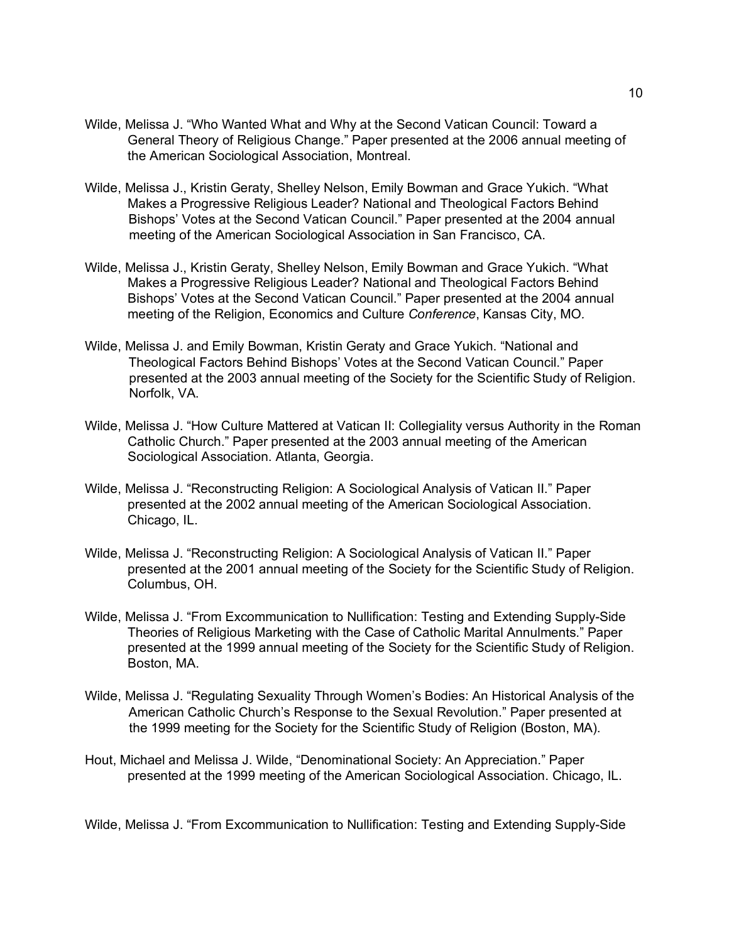- Wilde, Melissa J. "Who Wanted What and Why at the Second Vatican Council: Toward a General Theory of Religious Change." Paper presented at the 2006 annual meeting of the American Sociological Association, Montreal.
- Wilde, Melissa J., Kristin Geraty, Shelley Nelson, Emily Bowman and Grace Yukich. "What Makes a Progressive Religious Leader? National and Theological Factors Behind Bishops' Votes at the Second Vatican Council." Paper presented at the 2004 annual meeting of the American Sociological Association in San Francisco, CA.
- Wilde, Melissa J., Kristin Geraty, Shelley Nelson, Emily Bowman and Grace Yukich. "What Makes a Progressive Religious Leader? National and Theological Factors Behind Bishops' Votes at the Second Vatican Council." Paper presented at the 2004 annual meeting of the Religion, Economics and Culture *Conference*, Kansas City, MO*.*
- Wilde, Melissa J. and Emily Bowman, Kristin Geraty and Grace Yukich. "National and Theological Factors Behind Bishops' Votes at the Second Vatican Council." Paper presented at the 2003 annual meeting of the Society for the Scientific Study of Religion. Norfolk, VA.
- Wilde, Melissa J. "How Culture Mattered at Vatican II: Collegiality versus Authority in the Roman Catholic Church." Paper presented at the 2003 annual meeting of the American Sociological Association. Atlanta, Georgia.
- Wilde, Melissa J. "Reconstructing Religion: A Sociological Analysis of Vatican II." Paper presented at the 2002 annual meeting of the American Sociological Association. Chicago, IL.
- Wilde, Melissa J. "Reconstructing Religion: A Sociological Analysis of Vatican II." Paper presented at the 2001 annual meeting of the Society for the Scientific Study of Religion. Columbus, OH.
- Wilde, Melissa J. "From Excommunication to Nullification: Testing and Extending Supply-Side Theories of Religious Marketing with the Case of Catholic Marital Annulments." Paper presented at the 1999 annual meeting of the Society for the Scientific Study of Religion. Boston, MA.
- Wilde, Melissa J. "Regulating Sexuality Through Women's Bodies: An Historical Analysis of the American Catholic Church's Response to the Sexual Revolution." Paper presented at the 1999 meeting for the Society for the Scientific Study of Religion (Boston, MA).
- Hout, Michael and Melissa J. Wilde, "Denominational Society: An Appreciation." Paper presented at the 1999 meeting of the American Sociological Association. Chicago, IL.

Wilde, Melissa J. "From Excommunication to Nullification: Testing and Extending Supply-Side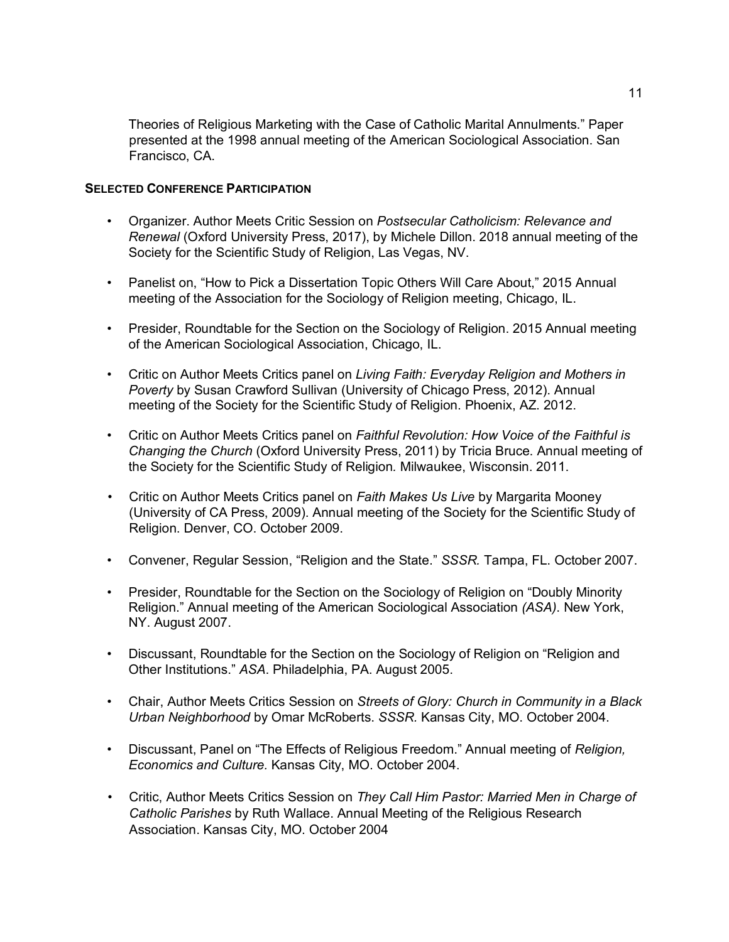Theories of Religious Marketing with the Case of Catholic Marital Annulments." Paper presented at the 1998 annual meeting of the American Sociological Association. San Francisco, CA.

# **SELECTED CONFERENCE PARTICIPATION**

- Organizer. Author Meets Critic Session on *Postsecular Catholicism: Relevance and Renewal* (Oxford University Press, 2017), by Michele Dillon. 2018 annual meeting of the Society for the Scientific Study of Religion, Las Vegas, NV.
- Panelist on, "How to Pick a Dissertation Topic Others Will Care About," 2015 Annual meeting of the Association for the Sociology of Religion meeting, Chicago, IL.
- Presider, Roundtable for the Section on the Sociology of Religion. 2015 Annual meeting of the American Sociological Association, Chicago, IL.
- Critic on Author Meets Critics panel on *Living Faith: Everyday Religion and Mothers in Poverty* by Susan Crawford Sullivan (University of Chicago Press, 2012). Annual meeting of the Society for the Scientific Study of Religion. Phoenix, AZ. 2012.
- Critic on Author Meets Critics panel on *Faithful Revolution: How Voice of the Faithful is Changing the Church* (Oxford University Press, 2011) by Tricia Bruce. Annual meeting of the Society for the Scientific Study of Religion*.* Milwaukee, Wisconsin. 2011.
- Critic on Author Meets Critics panel on *Faith Makes Us Live* by Margarita Mooney (University of CA Press, 2009). Annual meeting of the Society for the Scientific Study of Religion. Denver, CO. October 2009.
- Convener, Regular Session, "Religion and the State." *SSSR.* Tampa, FL. October 2007.
- Presider, Roundtable for the Section on the Sociology of Religion on "Doubly Minority Religion." Annual meeting of the American Sociological Association *(ASA)*. New York, NY. August 2007.
- Discussant, Roundtable for the Section on the Sociology of Religion on "Religion and Other Institutions." *ASA*. Philadelphia, PA. August 2005.
- Chair, Author Meets Critics Session on *Streets of Glory: Church in Community in a Black Urban Neighborhood* by Omar McRoberts. *SSSR.* Kansas City, MO. October 2004.
- Discussant, Panel on "The Effects of Religious Freedom." Annual meeting of *Religion, Economics and Culture.* Kansas City, MO. October 2004.
- Critic, Author Meets Critics Session on *They Call Him Pastor: Married Men in Charge of Catholic Parishes* by Ruth Wallace. Annual Meeting of the Religious Research Association. Kansas City, MO. October 2004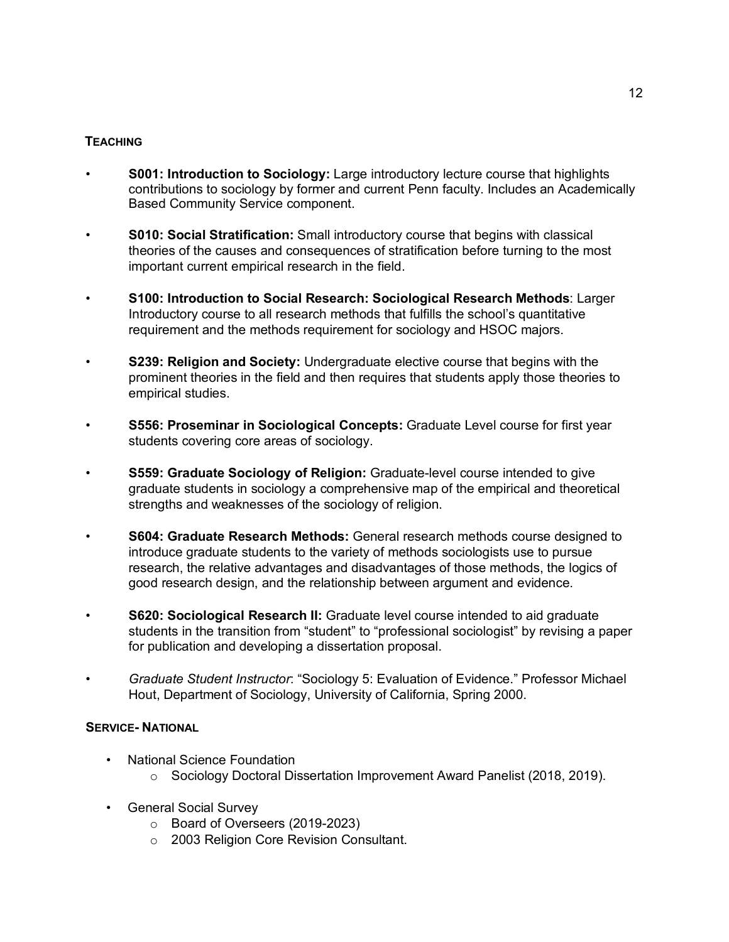# **TEACHING**

- *•* **S001: Introduction to Sociology:** Large introductory lecture course that highlights contributions to sociology by former and current Penn faculty. Includes an Academically Based Community Service component.
- *•* **S010: Social Stratification:** Small introductory course that begins with classical theories of the causes and consequences of stratification before turning to the most important current empirical research in the field.
- *•* **S100: Introduction to Social Research: Sociological Research Methods**: Larger Introductory course to all research methods that fulfills the school's quantitative requirement and the methods requirement for sociology and HSOC majors.
- *•* **S239: Religion and Society:** Undergraduate elective course that begins with the prominent theories in the field and then requires that students apply those theories to empirical studies.
- *•* **S556: Proseminar in Sociological Concepts:** Graduate Level course for first year students covering core areas of sociology.
- *•* **S559: Graduate Sociology of Religion:** Graduate-level course intended to give graduate students in sociology a comprehensive map of the empirical and theoretical strengths and weaknesses of the sociology of religion.
- *•* **S604: Graduate Research Methods:** General research methods course designed to introduce graduate students to the variety of methods sociologists use to pursue research, the relative advantages and disadvantages of those methods, the logics of good research design, and the relationship between argument and evidence.
- *•* **S620: Sociological Research II:** Graduate level course intended to aid graduate students in the transition from "student" to "professional sociologist" by revising a paper for publication and developing a dissertation proposal.
- *• Graduate Student Instructor*: "Sociology 5: Evaluation of Evidence." Professor Michael Hout, Department of Sociology, University of California, Spring 2000.

# **SERVICE- NATIONAL**

- National Science Foundation
	- $\circ$  Sociology Doctoral Dissertation Improvement Award Panelist (2018, 2019).
- General Social Survey
	- o Board of Overseers (2019-2023)
	- o 2003 Religion Core Revision Consultant.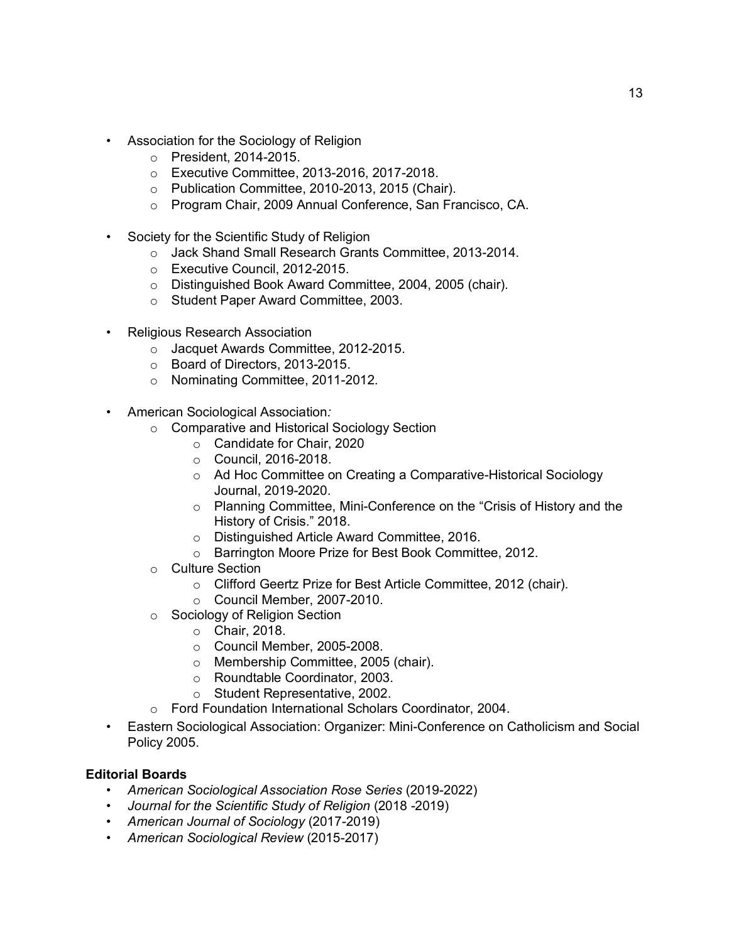- Association for the Sociology of Religion
	- o President, 2014-2015.
	- o Executive Committee, 2013-2016, 2017-2018.
	- o Publication Committee, 2010-2013, 2015 (Chair).
	- o Program Chair, 2009 Annual Conference, San Francisco, CA.
- Society for the Scientific Study of Religion
	- o Jack Shand Small Research Grants Committee, 2013-2014.
	- o Executive Council, 2012-2015.
	- o Distinguished Book Award Committee, 2004, 2005 (chair).
	- o Student Paper Award Committee, 2003.
- Religious Research Association
	- o Jacquet Awards Committee, 2012-2015.
	- o Board of Directors, 2013-2015.
	- o Nominating Committee, 2011-2012.
- American Sociological Association*:* 
	- o Comparative and Historical Sociology Section
		- o Candidate for Chair, 2020
		- o Council, 2016-2018.
		- o Ad Hoc Committee on Creating a Comparative-Historical Sociology Journal, 2019-2020.
		- o Planning Committee, Mini-Conference on the "Crisis of History and the History of Crisis." 2018.
		- o Distinguished Article Award Committee, 2016.
		- o Barrington Moore Prize for Best Book Committee, 2012.
	- o Culture Section
		- o Clifford Geertz Prize for Best Article Committee, 2012 (chair).
		- o Council Member, 2007-2010.
	- o Sociology of Religion Section
		- o Chair, 2018.
		- o Council Member, 2005-2008.
		- o Membership Committee, 2005 (chair).
		- o Roundtable Coordinator, 2003.
		- o Student Representative, 2002.
	- o Ford Foundation International Scholars Coordinator, 2004.
- Eastern Sociological Association: Organizer: Mini-Conference on Catholicism and Social Policy 2005.

# **Editorial Boards**

- *American Sociological Association Rose Series* (2019-2022)
- *Journal for the Scientific Study of Religion* (2018 -2019)
- *American Journal of Sociology* (2017-2019)
- *American Sociological Review* (2015-2017)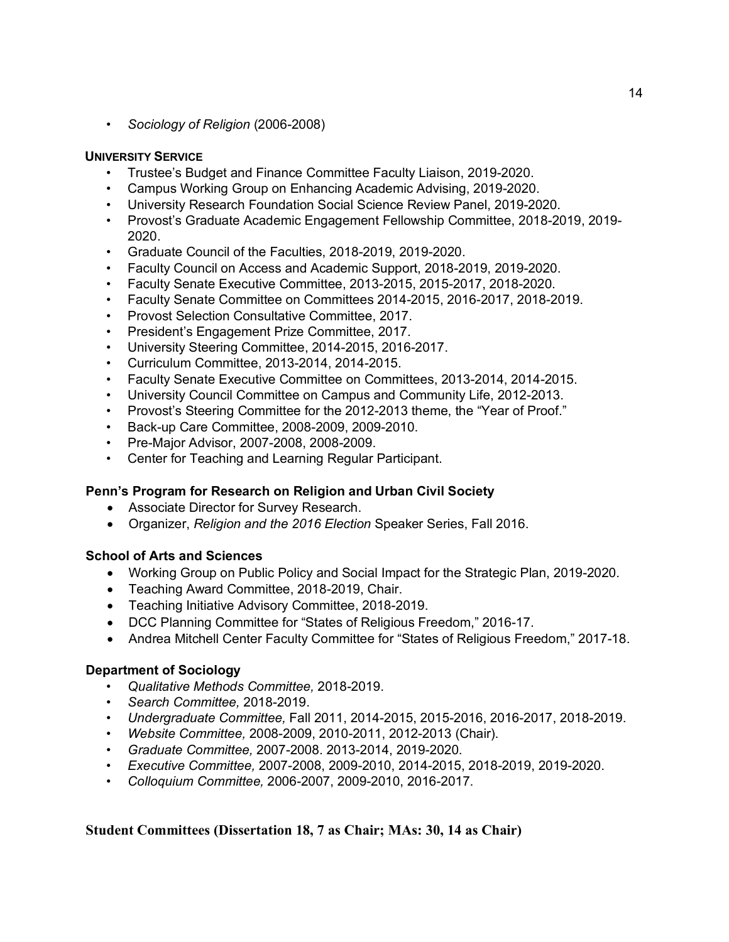• *Sociology of Religion* (2006-2008)

# **UNIVERSITY SERVICE**

- Trustee's Budget and Finance Committee Faculty Liaison, 2019-2020.
- Campus Working Group on Enhancing Academic Advising, 2019-2020.
- University Research Foundation Social Science Review Panel, 2019-2020.
- Provost's Graduate Academic Engagement Fellowship Committee, 2018-2019, 2019- 2020.
- Graduate Council of the Faculties, 2018-2019, 2019-2020.
- Faculty Council on Access and Academic Support, 2018-2019, 2019-2020.
- Faculty Senate Executive Committee, 2013-2015, 2015-2017, 2018-2020.
- Faculty Senate Committee on Committees 2014-2015, 2016-2017, 2018-2019.
- Provost Selection Consultative Committee, 2017.
- President's Engagement Prize Committee, 2017.
- University Steering Committee, 2014-2015, 2016-2017.
- Curriculum Committee, 2013-2014, 2014-2015.
- Faculty Senate Executive Committee on Committees, 2013-2014, 2014-2015.
- University Council Committee on Campus and Community Life, 2012-2013.
- Provost's Steering Committee for the 2012-2013 theme, the "Year of Proof."
- Back-up Care Committee, 2008-2009, 2009-2010.
- Pre-Major Advisor, 2007-2008, 2008-2009.
- Center for Teaching and Learning Regular Participant.

## **Penn's Program for Research on Religion and Urban Civil Society**

- Associate Director for Survey Research.
- Organizer, *Religion and the 2016 Election* Speaker Series, Fall 2016.

## **School of Arts and Sciences**

- Working Group on Public Policy and Social Impact for the Strategic Plan, 2019-2020.
- Teaching Award Committee, 2018-2019, Chair.
- Teaching Initiative Advisory Committee, 2018-2019.
- DCC Planning Committee for "States of Religious Freedom," 2016-17.
- Andrea Mitchell Center Faculty Committee for "States of Religious Freedom," 2017-18.

## **Department of Sociology**

- *Qualitative Methods Committee,* 2018-2019.
- *Search Committee,* 2018-2019.
- *Undergraduate Committee,* Fall 2011, 2014-2015, 2015-2016, 2016-2017, 2018-2019.
- *Website Committee,* 2008-2009, 2010-2011, 2012-2013 (Chair).
- *Graduate Committee,* 2007-2008. 2013-2014, 2019-2020.
- *Executive Committee,* 2007-2008, 2009-2010, 2014-2015, 2018-2019, 2019-2020.
- *Colloquium Committee,* 2006-2007, 2009-2010, 2016-2017.

# **Student Committees (Dissertation 18, 7 as Chair; MAs: 30, 14 as Chair)**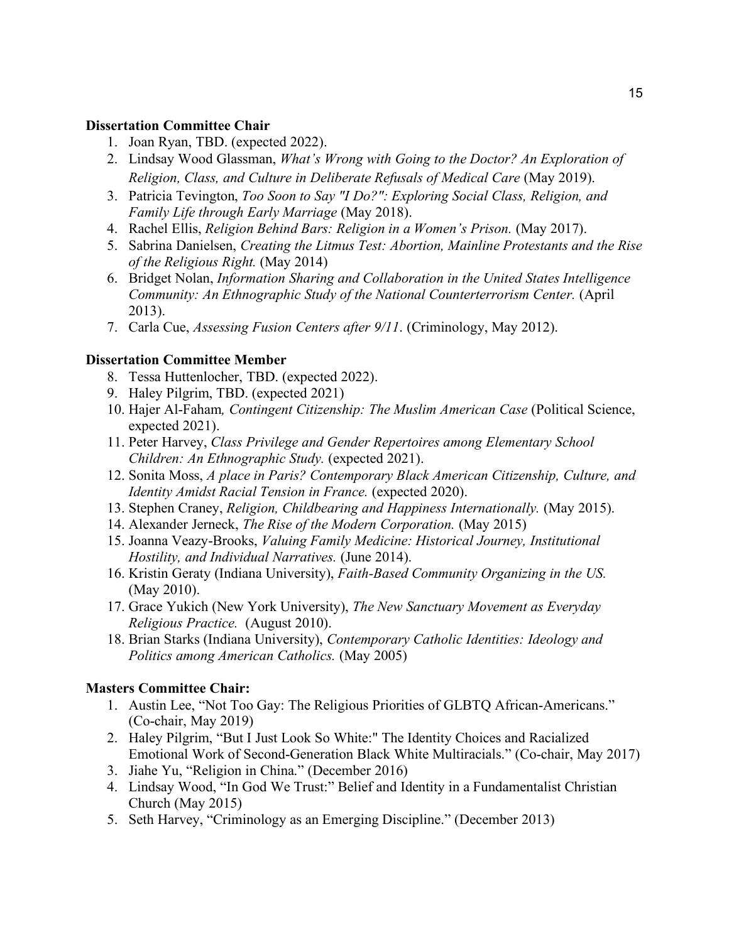# **Dissertation Committee Chair**

- 1. Joan Ryan, TBD. (expected 2022).
- 2. Lindsay Wood Glassman, *What's Wrong with Going to the Doctor? An Exploration of Religion, Class, and Culture in Deliberate Refusals of Medical Care (May 2019).*
- 3. Patricia Tevington, *Too Soon to Say "I Do?": Exploring Social Class, Religion, and Family Life through Early Marriage* (May 2018).
- 4. Rachel Ellis, *Religion Behind Bars: Religion in a Women's Prison.* (May 2017).
- 5. Sabrina Danielsen, *Creating the Litmus Test: Abortion, Mainline Protestants and the Rise of the Religious Right.* (May 2014)
- 6. Bridget Nolan, *Information Sharing and Collaboration in the United States Intelligence Community: An Ethnographic Study of the National Counterterrorism Center.* (April 2013).
- 7. Carla Cue, *Assessing Fusion Centers after 9/11*. (Criminology, May 2012).

# **Dissertation Committee Member**

- 8. Tessa Huttenlocher, TBD. (expected 2022).
- 9. Haley Pilgrim, TBD. (expected 2021)
- 10. Hajer Al-Faham*, Contingent Citizenship: The Muslim American Case* (Political Science, expected 2021).
- 11. Peter Harvey, *Class Privilege and Gender Repertoires among Elementary School Children: An Ethnographic Study.* (expected 2021).
- 12. Sonita Moss, *A place in Paris? Contemporary Black American Citizenship, Culture, and Identity Amidst Racial Tension in France.* (expected 2020).
- 13. Stephen Craney, *Religion, Childbearing and Happiness Internationally.* (May 2015).
- 14. Alexander Jerneck, *The Rise of the Modern Corporation.* (May 2015)
- 15. Joanna Veazy-Brooks, *Valuing Family Medicine: Historical Journey, Institutional Hostility, and Individual Narratives.* (June 2014).
- 16. Kristin Geraty (Indiana University), *Faith-Based Community Organizing in the US.* (May 2010).
- 17. Grace Yukich (New York University), *The New Sanctuary Movement as Everyday Religious Practice.* (August 2010).
- 18. Brian Starks (Indiana University), *Contemporary Catholic Identities: Ideology and Politics among American Catholics.* (May 2005)

# **Masters Committee Chair:**

- 1. Austin Lee, "Not Too Gay: The Religious Priorities of GLBTQ African-Americans." (Co-chair, May 2019)
- 2. Haley Pilgrim, "But I Just Look So White:" The Identity Choices and Racialized Emotional Work of Second-Generation Black White Multiracials." (Co-chair, May 2017)
- 3. Jiahe Yu, "Religion in China." (December 2016)
- 4. Lindsay Wood, "In God We Trust:" Belief and Identity in a Fundamentalist Christian Church (May 2015)
- 5. Seth Harvey, "Criminology as an Emerging Discipline." (December 2013)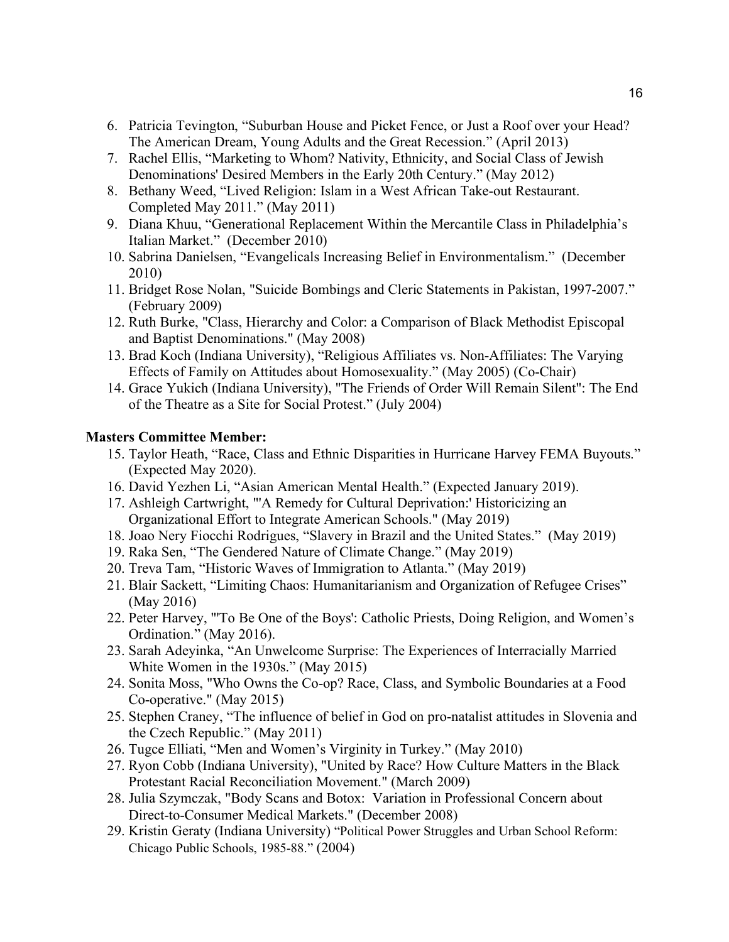- 6. Patricia Tevington, "Suburban House and Picket Fence, or Just a Roof over your Head? The American Dream, Young Adults and the Great Recession." (April 2013)
- 7. Rachel Ellis, "Marketing to Whom? Nativity, Ethnicity, and Social Class of Jewish Denominations' Desired Members in the Early 20th Century." (May 2012)
- 8. Bethany Weed, "Lived Religion: Islam in a West African Take-out Restaurant. Completed May 2011." (May 2011)
- 9. Diana Khuu, "Generational Replacement Within the Mercantile Class in Philadelphia's Italian Market." (December 2010)
- 10. Sabrina Danielsen, "Evangelicals Increasing Belief in Environmentalism." (December 2010)
- 11. Bridget Rose Nolan, "Suicide Bombings and Cleric Statements in Pakistan, 1997-2007." (February 2009)
- 12. Ruth Burke, "Class, Hierarchy and Color: a Comparison of Black Methodist Episcopal and Baptist Denominations." (May 2008)
- 13. Brad Koch (Indiana University), "Religious Affiliates vs. Non-Affiliates: The Varying Effects of Family on Attitudes about Homosexuality." (May 2005) (Co-Chair)
- 14. Grace Yukich (Indiana University), "The Friends of Order Will Remain Silent": The End of the Theatre as a Site for Social Protest." (July 2004)

# **Masters Committee Member:**

- 15. Taylor Heath, "Race, Class and Ethnic Disparities in Hurricane Harvey FEMA Buyouts." (Expected May 2020).
- 16. David Yezhen Li, "Asian American Mental Health." (Expected January 2019).
- 17. Ashleigh Cartwright, "'A Remedy for Cultural Deprivation:' Historicizing an Organizational Effort to Integrate American Schools." (May 2019)
- 18. Joao Nery Fiocchi Rodrigues, "Slavery in Brazil and the United States." (May 2019)
- 19. Raka Sen, "The Gendered Nature of Climate Change." (May 2019)
- 20. Treva Tam, "Historic Waves of Immigration to Atlanta." (May 2019)
- 21. Blair Sackett, "Limiting Chaos: Humanitarianism and Organization of Refugee Crises" (May 2016)
- 22. Peter Harvey, "'To Be One of the Boys': Catholic Priests, Doing Religion, and Women's Ordination." (May 2016).
- 23. Sarah Adeyinka, "An Unwelcome Surprise: The Experiences of Interracially Married White Women in the 1930s." (May 2015)
- 24. Sonita Moss, "Who Owns the Co-op? Race, Class, and Symbolic Boundaries at a Food Co-operative." (May 2015)
- 25. Stephen Craney, "The influence of belief in God on pro-natalist attitudes in Slovenia and the Czech Republic." (May 2011)
- 26. Tugce Elliati, "Men and Women's Virginity in Turkey." (May 2010)
- 27. Ryon Cobb (Indiana University), "United by Race? How Culture Matters in the Black Protestant Racial Reconciliation Movement." (March 2009)
- 28. Julia Szymczak, "Body Scans and Botox: Variation in Professional Concern about Direct-to-Consumer Medical Markets." (December 2008)
- 29. Kristin Geraty (Indiana University) "Political Power Struggles and Urban School Reform: Chicago Public Schools, 1985-88." (2004)